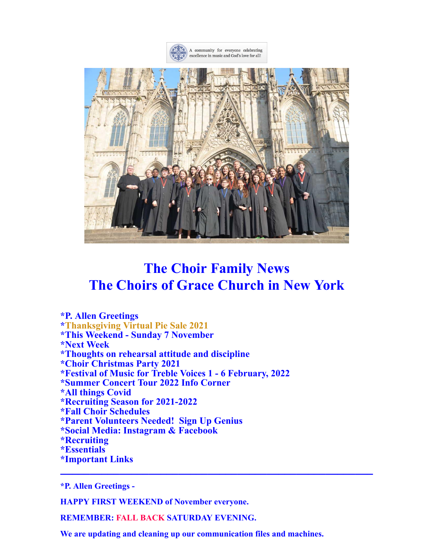



# **The Choir Family News The Choirs of Grace Church in New York**

**\*P. Allen Greetings \*Thanksgiving Virtual Pie Sale 2021 \*This Weekend - Sunday 7 November \*Next Week \*Thoughts on rehearsal attitude and discipline \*Choir Christmas Party 2021 \*Festival of Music for Treble Voices 1 - 6 February, 2022 \*Summer Concert Tour 2022 Info Corner \*All things Covid \*Recruiting Season for 2021-2022 \*Fall Choir Schedules \*Parent Volunteers Needed! Sign Up Genius \*Social Media: Instagram & Facebook \*Recruiting \*Essentials \*Important Links**

**\*P. Allen Greetings -**

**HAPPY FIRST WEEKEND of November everyone.**

**REMEMBER: FALL BACK SATURDAY EVENING.**

**We are updating and cleaning up our communication files and machines.**

**\_\_\_\_\_\_\_\_\_\_\_\_\_\_\_\_\_\_\_\_\_\_\_\_\_\_\_\_\_\_\_\_\_\_\_\_\_\_\_\_\_\_\_\_\_\_\_\_\_\_\_\_\_**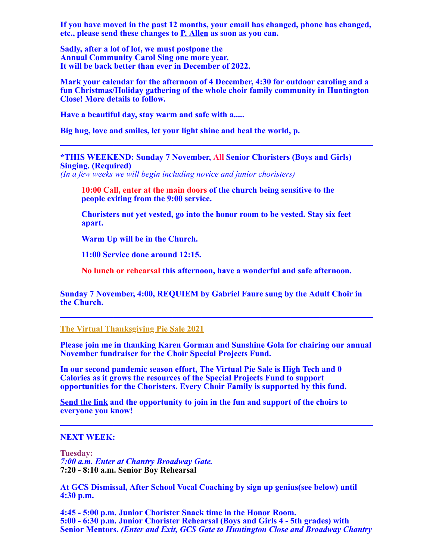**If you have moved in the past 12 months, your email has changed, phone has changed, etc., please send these changes to [P. Allen](mailto:pallen@gracechurchnyc.org) as soon as you can.**

**Sadly, after a lot of lot, we must postpone the Annual Community Carol Sing one more year. It will be back better than ever in December of 2022.**

**Mark your calendar for the afternoon of 4 December, 4:30 for outdoor caroling and a fun Christmas/Holiday gathering of the whole choir family community in Huntington Close! More details to follow.**

**\_\_\_\_\_\_\_\_\_\_\_\_\_\_\_\_\_\_\_\_\_\_\_\_\_\_\_\_\_\_\_\_\_\_\_\_\_\_\_\_\_\_\_\_\_\_\_\_\_\_\_\_\_**

**Have a beautiful day, stay warm and safe with a.....**

**Big hug, love and smiles, let your light shine and heal the world, p.**

# **\*THIS WEEKEND: Sunday 7 November, All Senior Choristers (Boys and Girls) Singing. (Required)**

*(In a few weeks we will begin including novice and junior choristers)*

**10:00 Call, enter at the main doors of the church being sensitive to the people exiting from the 9:00 service.**

**Choristers not yet vested, go into the honor room to be vested. Stay six feet apart.**

**Warm Up will be in the Church.**

**11:00 Service done around 12:15.**

**No lunch or rehearsal this afternoon, have a wonderful and safe afternoon.**

**Sunday 7 November, 4:00, REQUIEM by Gabriel Faure sung by the Adult Choir in the Church. \_\_\_\_\_\_\_\_\_\_\_\_\_\_\_\_\_\_\_\_\_\_\_\_\_\_\_\_\_\_\_\_\_\_\_\_\_\_\_\_\_\_\_\_\_\_\_\_\_\_\_\_\_**

**[The Virtual Thanksgiving Pie Sale 2021](https://music.gracechurchnyc.org/18692/)**

**Please join me in thanking Karen Gorman and Sunshine Gola for chairing our annual November fundraiser for the Choir Special Projects Fund.**

**In our second pandemic season effort, The Virtual Pie Sale is High Tech and 0 Calories as it grows the resources of the Special Projects Fund to support opportunities for the Choristers. Every Choir Family is supported by this fund.**

**[Send the link](https://music.gracechurchnyc.org/18692/) and the opportunity to join in the fun and support of the choirs to everyone you know! \_\_\_\_\_\_\_\_\_\_\_\_\_\_\_\_\_\_\_\_\_\_\_\_\_\_\_\_\_\_\_\_\_\_\_\_\_\_\_\_\_\_\_\_\_\_\_\_\_\_\_\_\_**

#### **NEXT WEEK:**

**Tuesday:** *7:00 a.m. Enter at Chantry Broadway Gate.* **7:20 - 8:10 a.m. Senior Boy Rehearsal**

**At GCS Dismissal, After School Vocal Coaching by sign up genius(see below) until 4:30 p.m.**

**4:45 - 5:00 p.m. Junior Chorister Snack time in the Honor Room. 5:00 - 6:30 p.m. Junior Chorister Rehearsal (Boys and Girls 4 - 5th grades) with Senior Mentors.** *(Enter and Exit, GCS Gate to Huntington Close and Broadway Chantry*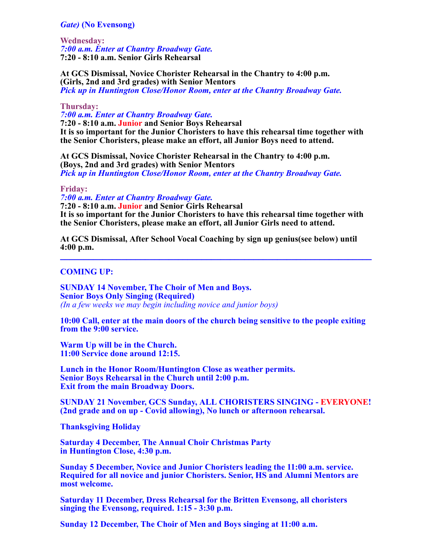# *Gate)* **(No Evensong)**

**Wednesday:** *7:00 a.m. Enter at Chantry Broadway Gate.* **7:20 - 8:10 a.m. Senior Girls Rehearsal**

**At GCS Dismissal, Novice Chorister Rehearsal in the Chantry to 4:00 p.m. (Girls, 2nd and 3rd grades) with Senior Mentors** *Pick up in Huntington Close/Honor Room, enter at the Chantry Broadway Gate.*

#### **Thursday:**

*7:00 a.m. Enter at Chantry Broadway Gate.* **7:20 - 8:10 a.m. Junior and Senior Boys Rehearsal It is so important for the Junior Choristers to have this rehearsal time together with the Senior Choristers, please make an effort, all Junior Boys need to attend.**

**At GCS Dismissal, Novice Chorister Rehearsal in the Chantry to 4:00 p.m. (Boys, 2nd and 3rd grades) with Senior Mentors** *Pick up in Huntington Close/Honor Room, enter at the Chantry Broadway Gate.*

#### **Friday:**

*7:00 a.m. Enter at Chantry Broadway Gate.* **7:20 - 8:10 a.m. Junior and Senior Girls Rehearsal It is so important for the Junior Choristers to have this rehearsal time together with the Senior Choristers, please make an effort, all Junior Girls need to attend.**

**At GCS Dismissal, After School Vocal Coaching by sign up genius(see below) until 4:00 p.m. \_\_\_\_\_\_\_\_\_\_\_\_\_\_\_\_\_\_\_\_\_\_\_\_\_\_\_\_\_\_\_\_\_\_\_\_\_\_\_\_\_\_\_\_\_\_\_\_\_\_\_\_\_\_\_\_\_\_\_\_\_\_\_\_\_\_**

# **COMING UP:**

**SUNDAY 14 November, The Choir of Men and Boys. Senior Boys Only Singing (Required)** *(In a few weeks we may begin including novice and junior boys)*

**10:00 Call, enter at the main doors of the church being sensitive to the people exiting from the 9:00 service.**

**Warm Up will be in the Church. 11:00 Service done around 12:15.**

**Lunch in the Honor Room/Huntington Close as weather permits. Senior Boys Rehearsal in the Church until 2:00 p.m. Exit from the main Broadway Doors.**

**SUNDAY 21 November, GCS Sunday, ALL CHORISTERS SINGING - EVERYONE! (2nd grade and on up - Covid allowing), No lunch or afternoon rehearsal.**

**Thanksgiving Holiday**

**Saturday 4 December, The Annual Choir Christmas Party in Huntington Close, 4:30 p.m.**

**Sunday 5 December, Novice and Junior Choristers leading the 11:00 a.m. service. Required for all novice and junior Choristers. Senior, HS and Alumni Mentors are most welcome.**

**Saturday 11 December, Dress Rehearsal for the Britten Evensong, all choristers singing the Evensong, required. 1:15 - 3:30 p.m.**

**Sunday 12 December, The Choir of Men and Boys singing at 11:00 a.m.**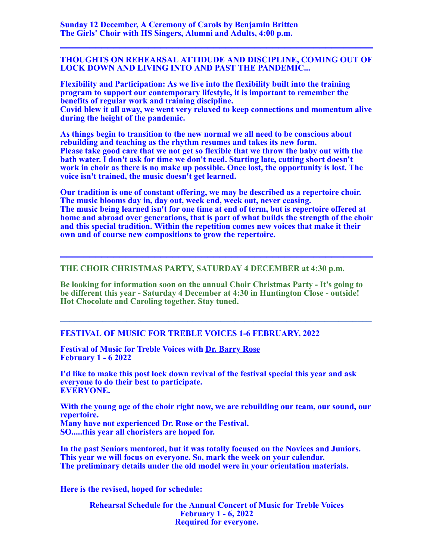## **THOUGHTS ON REHEARSAL ATTIDUDE AND DISCIPLINE, COMING OUT OF LOCK DOWN AND LIVING INTO AND PAST THE PANDEMIC...**

**\_\_\_\_\_\_\_\_\_\_\_\_\_\_\_\_\_\_\_\_\_\_\_\_\_\_\_\_\_\_\_\_\_\_\_\_\_\_\_\_\_\_\_\_\_\_\_\_\_\_\_\_\_**

**Flexibility and Participation: As we live into the flexibility built into the training program to support our contemporary lifestyle, it is important to remember the benefits of regular work and training discipline.**

**Covid blew it all away, we went very relaxed to keep connections and momentum alive during the height of the pandemic.**

**As things begin to transition to the new normal we all need to be conscious about rebuilding and teaching as the rhythm resumes and takes its new form. Please take good care that we not get so flexible that we throw the baby out with the bath water. I don't ask for time we don't need. Starting late, cutting short doesn't work in choir as there is no make up possible. Once lost, the opportunity is lost. The voice isn't trained, the music doesn't get learned.**

**Our tradition is one of constant offering, we may be described as a repertoire choir. The music blooms day in, day out, week end, week out, never ceasing. The music being learned isn't for one time at end of term, but is repertoire offered at home and abroad over generations, that is part of what builds the strength of the choir and this special tradition. Within the repetition comes new voices that make it their own and of course new compositions to grow the repertoire.**

**\_\_\_\_\_\_\_\_\_\_\_\_\_\_\_\_\_\_\_\_\_\_\_\_\_\_\_\_\_\_\_\_\_\_\_\_\_\_\_\_\_\_\_\_\_\_\_\_\_\_\_\_\_**

# **THE CHOIR CHRISTMAS PARTY, SATURDAY 4 DECEMBER at 4:30 p.m.**

**Be looking for information soon on the annual Choir Christmas Party - It's going to be different this year - Saturday 4 December at 4:30 in Huntington Close - outside! Hot Chocolate and Caroling together. Stay tuned.**

**\_\_\_\_\_\_\_\_\_\_\_\_\_\_\_\_\_\_\_\_\_\_\_\_\_\_\_\_\_\_\_\_\_\_\_\_\_\_\_\_\_\_\_\_\_\_\_\_\_\_\_\_\_\_\_\_\_\_\_\_\_\_\_\_\_\_**

# **FESTIVAL OF MUSIC FOR TREBLE VOICES 1-6 FEBRUARY, 2022**

**Festival of Music for Treble Voices with [Dr. Barry Rose](http://barryrose.co.uk/home.html) February 1 - 6 2022**

**I'd like to make this post lock down revival of the festival special this year and ask everyone to do their best to participate. EVERYONE.**

**With the young age of the choir right now, we are rebuilding our team, our sound, our repertoire. Many have not experienced Dr. Rose or the Festival. SO.....this year all choristers are hoped for.**

**In the past Seniors mentored, but it was totally focused on the Novices and Juniors. This year we will focus on everyone. So, mark the week on your calendar. The preliminary details under the old model were in your orientation materials.**

**Here is the revised, hoped for schedule:**

**Rehearsal Schedule for the Annual Concert of Music for Treble Voices February 1 - 6, 2022 Required for everyone.**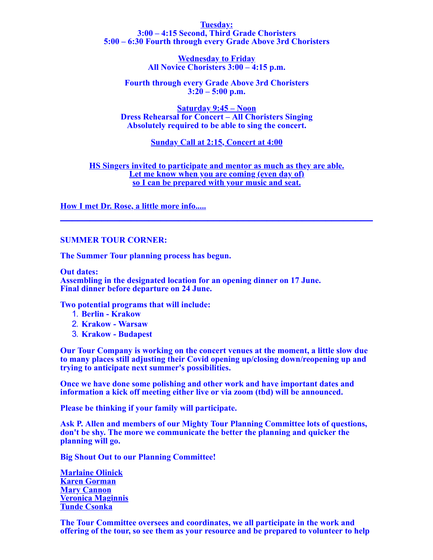#### **Tuesday: 3:00 – 4:15 Second, Third Grade Choristers 5:00 – 6:30 Fourth through every Grade Above 3rd Choristers**

**Wednesday to Friday All Novice Choristers 3:00 – 4:15 p.m.**

**Fourth through every Grade Above 3rd Choristers 3:20 – 5:00 p.m.**

**Saturday 9:45 – Noon Dress Rehearsal for Concert – All Choristers Singing Absolutely required to be able to sing the concert.**

**Sunday Call at 2:15, Concert at 4:00**

**HS Singers invited to participate and mentor as much as they are able. Let me know when you are coming (even day of) so I can be prepared with your music and seat.**

**[How I met Dr. Rose, a little more info.....](https://files.constantcontact.com/d98ba02a001/74f15d84-58fa-40b0-a960-e29dcd7734fb.doc) \_\_\_\_\_\_\_\_\_\_\_\_\_\_\_\_\_\_\_\_\_\_\_\_\_\_\_\_\_\_\_\_\_\_\_\_\_\_\_\_\_\_\_\_\_\_\_\_\_\_\_\_\_**

## **SUMMER TOUR CORNER:**

**The Summer Tour planning process has begun.**

**Out dates:**

**Assembling in the designated location for an opening dinner on 17 June. Final dinner before departure on 24 June.**

**Two potential programs that will include:**

- 1. **Berlin Krakow**
- 2. **Krakow Warsaw**
- 3. **Krakow Budapest**

**Our Tour Company is working on the concert venues at the moment, a little slow due to many places still adjusting their Covid opening up/closing down/reopening up and trying to anticipate next summer's possibilities.**

**Once we have done some polishing and other work and have important dates and information a kick off meeting either live or via zoom (tbd) will be announced.**

**Please be thinking if your family will participate.**

**Ask P. Allen and members of our Mighty Tour Planning Committee lots of questions, don't be shy. The more we communicate the better the planning and quicker the planning will go.**

**Big Shout Out to our Planning Committee!**

**[Marlaine Olinick](mailto:mmolinick@gmail.com) [Karen Gorman](mailto:medcannon@gmail.com) [Mary Cannon](mailto:medcannon@gmail.com) [Veronica Maginnis](mailto:vmagin@gmail.com) [Tunde Csonka](mailto:tunde.csonka74@gmail.com)**

**The Tour Committee oversees and coordinates, we all participate in the work and offering of the tour, so see them as your resource and be prepared to volunteer to help**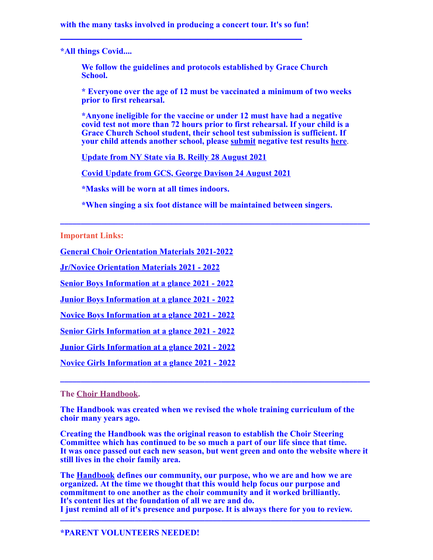**with the many tasks involved in producing a concert tour. It's so fun! \_\_\_\_\_\_\_\_\_\_\_\_\_\_\_\_\_\_\_\_\_\_\_\_\_\_\_\_\_\_\_\_\_\_\_\_\_\_\_\_\_**

**\*All things Covid....**

**We follow the guidelines and protocols established by Grace Church School.**

**\* Everyone over the age of 12 must be vaccinated a minimum of two weeks prior to first rehearsal.**

**\*Anyone ineligible for the vaccine or under 12 must have had a negative covid test not more than 72 hours prior to first rehearsal. If your child is a Grace Church School student, their school test submission is sufficient. If your child attends another school, please [submit](mailto:gracechoir1894@gmail.com) negative test results [here](mailto:gracechoir1894@gmail.com)**.

**[Update from NY State via B. Reilly 28 August 2021](https://music.gracechurchnyc.org/18577/)**

**[Covid Update from GCS, George Davison 24 August 2021](https://music.gracechurchnyc.org/18568/)**

**\*Masks will be worn at all times indoors.**

**\*When singing a six foot distance will be maintained between singers.**

**\_\_\_\_\_\_\_\_\_\_\_\_\_\_\_\_\_\_\_\_\_\_\_\_\_\_\_\_\_\_\_\_\_\_\_\_\_\_\_\_\_\_\_\_\_\_\_\_\_\_\_\_\_\_\_\_\_\_\_\_\_\_\_\_\_\_\_\_\_\_\_\_\_\_\_**

**Important Links:**

**[General Choir Orientation Materials 2021-2022](https://music.gracechurchnyc.org/2021-2022-chorister-orientation-general-pages/)**

**[Jr/Novice Orientation Materials 2021 - 2022](https://music.gracechurchnyc.org/junior-and-novice-chorister-orientation-pages-2021-2022/)**

**[Senior Boys Information at a glance 2021 - 2022](https://music.gracechurchnyc.org/senior-boys-information-at-a-glance-2021-2022/)**

**[Junior Boys Information at a glance 2021 - 2022](https://music.gracechurchnyc.org/junior-boys-information-at-a-glance-2021-2022/)**

**[Novice Boys Information at a glance 2021 - 2022](https://music.gracechurchnyc.org/novice-boys-information-at-a-glance-2021-2022/)**

**[Senior Girls Information at a glance 2021 - 2022](https://music.gracechurchnyc.org/senior-girls-information-at-a-glance-2021-2022/)**

**[Junior Girls Information at a glance 2021 - 2022](https://music.gracechurchnyc.org/junior-girls-information-at-a-glance-2021-2022/)**

**[Novice Girls Information at a glance 2021 - 2022](https://music.gracechurchnyc.org/novice-girls-information-at-a-glance-2021-2022/)**

# **The [Choir Handbook.](https://music.gracechurchnyc.org/wp-content/uploads/2021/01/WEBChoir-Handbooktext2020.pdf)**

**The Handbook was created when we revised the whole training curriculum of the choir many years ago.**

**Creating the Handbook was the original reason to establish the Choir Steering Committee which has continued to be so much a part of our life since that time. It was once passed out each new season, but went green and onto the website where it still lives in the choir family area.**

**\_\_\_\_\_\_\_\_\_\_\_\_\_\_\_\_\_\_\_\_\_\_\_\_\_\_\_\_\_\_\_\_\_\_\_\_\_\_\_\_\_\_\_\_\_\_\_\_\_\_\_\_\_\_\_\_\_\_\_\_\_\_\_\_\_\_\_\_\_\_\_\_\_\_\_**

**The [Handbook](https://music.gracechurchnyc.org/wp-content/uploads/2021/01/WEBChoir-Handbooktext2020.pdf) defines our community, our purpose, who we are and how we are organized. At the time we thought that this would help focus our purpose and commitment to one another as the choir community and it worked brilliantly. It's content lies at the foundation of all we are and do. I just remind all of it's presence and purpose. It is always there for you to review.**

**\_\_\_\_\_\_\_\_\_\_\_\_\_\_\_\_\_\_\_\_\_\_\_\_\_\_\_\_\_\_\_\_\_\_\_\_\_\_\_\_\_\_\_\_\_\_\_\_\_\_\_\_\_\_\_\_\_\_\_\_\_\_\_\_\_\_\_\_\_\_\_\_\_\_\_**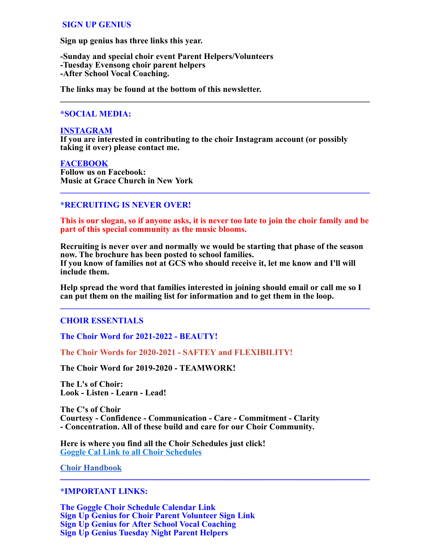# **SIGN UP GENIUS**

**Sign up genius has three links this year.**

**-Sunday and special choir event Parent Helpers/Volunteers -Tuesday Evensong choir parent helpers -After School Vocal Coaching.**

**The links may be found at the bottom of this newsletter.**

## **\*SOCIAL MEDIA:**

#### **[INSTAGRAM](http://r20.rs6.net/tn.jsp?f=001VdaRqvtZlKRh7WfcHRu6UN41E-X36pworJ2dMfkaEYFBnkPw5Kgiix85OO0SkQEcYpw4J5aCRO7N3o7xq3OOxkEHt0DSW86EmjQJlo-7od7LkbvgGgbhAS5kygiub8VwqKGQL48obJF7TtQw-4C6UXKi2kK4IKT6ylqWss4amASj_z7Fhky0O9j-LvA4eaywHurMSgWzku4ctGS0lCOzxQ==&c=m1UyDo1ELUPeGRRXAjZxXdpvUNqxGrMZSgXeAxJLDeSXrDMJATpIHw==&ch=7mFUXTh4efNL9vEzr8ptiPvpf5u3a3_7EUbPosOFHsaB-_xbsPqhBQ==)**

**If you are interested in contributing to the choir Instagram account (or possibly taking it over) please contact me.**

**\_\_\_\_\_\_\_\_\_\_\_\_\_\_\_\_\_\_\_\_\_\_\_\_\_\_\_\_\_\_\_\_\_\_\_\_\_\_\_\_\_\_\_\_\_\_\_\_\_\_\_\_\_\_\_\_\_\_\_\_\_\_\_\_\_\_\_\_\_\_\_\_\_**

## **[FACEBOOK](http://r20.rs6.net/tn.jsp?f=001VdaRqvtZlKRh7WfcHRu6UN41E-X36pworJ2dMfkaEYFBnkPw5Kgii5MZ8DjO1zDGsFxl3G88xhvelTx8oarVsaHfXcsiIpm4dNJn4MrR2PjHbG15bie9uYWHEhfOFu09q8tRAWBBA11IsbXE4QOKI71X10NkjMfbRVsvEaUKVzDWIx0hT8QV5KBIb33wdKqE9u0KD2u_XnDK8HNyOYi4I-9AUi4flPkl&c=m1UyDo1ELUPeGRRXAjZxXdpvUNqxGrMZSgXeAxJLDeSXrDMJATpIHw==&ch=7mFUXTh4efNL9vEzr8ptiPvpf5u3a3_7EUbPosOFHsaB-_xbsPqhBQ==)**

**Follow us on Facebook: Music at Grace Church in New York**

# **\*RECRUITING IS NEVER OVER!**

**This is our slogan, so if anyone asks, it is never too late to join the choir family and be part of this special community as the music blooms.**

**\_\_\_\_\_\_\_\_\_\_\_\_\_\_\_\_\_\_\_\_\_\_\_\_\_\_\_\_\_\_\_\_\_\_\_\_\_\_\_\_\_\_\_\_\_\_\_\_\_\_\_\_\_\_\_\_\_\_\_\_\_\_\_\_\_\_\_\_\_\_\_\_\_**

**Recruiting is never over and normally we would be starting that phase of the season now. The brochure has been posted to school families. If you know of families not at GCS who should receive it, let me know and I'll will include them.**

**Help spread the word that families interested in joining should email or call me so I can put them on the mailing list for information and to get them in the loop.**

**\_\_\_\_\_\_\_\_\_\_\_\_\_\_\_\_\_\_\_\_\_\_\_\_\_\_\_\_\_\_\_\_\_\_\_\_\_\_\_\_\_\_\_\_\_\_\_\_\_\_\_\_\_\_\_\_\_\_\_\_\_\_\_\_\_\_\_\_\_\_\_\_\_**

# **CHOIR ESSENTIALS**

**The Choir Word for 2021-2022 - BEAUTY!**

**The Choir Words for 2020-2021 - SAFTEY and FLEXIBILITY!**

**The Choir Word for 2019-2020 - TEAMWORK!**

**The L's of Choir: Look - Listen - Learn - Lead!**

**The C's of Choir Courtesy - Confidence - Communication - Care - Commitment - Clarity - Concentration. All of these build and care for our Choir Community.**

**Here is where you find all the Choir Schedules just click! [Goggle Cal Link to all Choir Schedules](http://r20.rs6.net/tn.jsp?f=001VdaRqvtZlKRh7WfcHRu6UN41E-X36pworJ2dMfkaEYFBnkPw5Kgii-LRPg5v9xBfIG1PNf_oPR5RYccRf2yzOnols9Fb16FWhIFz7nY2Wd-Ld2_Ze_v0mFfD6dlwdVPwQT90OeG0pTrfU8cYYu5pZnCYvYNqLCHrZHZIi1KLD6g=&c=m1UyDo1ELUPeGRRXAjZxXdpvUNqxGrMZSgXeAxJLDeSXrDMJATpIHw==&ch=7mFUXTh4efNL9vEzr8ptiPvpf5u3a3_7EUbPosOFHsaB-_xbsPqhBQ==)**

**[Choir Handbook](https://music.gracechurchnyc.org/wp-content/uploads/2021/01/WEBChoir-Handbooktext2020.pdf) \_\_\_\_\_\_\_\_\_\_\_\_\_\_\_\_\_\_\_\_\_\_\_\_\_\_\_\_\_\_\_\_\_\_\_\_\_\_\_\_\_\_\_\_\_\_\_\_\_\_\_\_\_\_\_\_\_\_\_\_\_\_\_\_\_\_\_\_\_\_\_\_\_\_\_**

## **\*IMPORTANT LINKS:**

**[The Goggle Choir Schedule Calendar Link](http://r20.rs6.net/tn.jsp?f=001VdaRqvtZlKRh7WfcHRu6UN41E-X36pworJ2dMfkaEYFBnkPw5Kgii5Iys66LnS5626cGg7E0alj9TLwZjgtgvMk9caZ3m4Tz4pAGOVhO-BS6Ia-QA6-zr4AJ6hxQJ9Bracye7sWqah8HCb6nojWqmxrUw6T20LUg3Sp9ZI9Mm_0=&c=m1UyDo1ELUPeGRRXAjZxXdpvUNqxGrMZSgXeAxJLDeSXrDMJATpIHw==&ch=7mFUXTh4efNL9vEzr8ptiPvpf5u3a3_7EUbPosOFHsaB-_xbsPqhBQ==) [Sign Up Genius for Choir Parent Volunteer Sign Link](http://r20.rs6.net/tn.jsp?f=001VdaRqvtZlKRh7WfcHRu6UN41E-X36pworJ2dMfkaEYFBnkPw5KgiixzKTNhHhxJMl1eabOEf2L1Nx5V4CnVfqAH7_SCRpwaF5ZClXBzgp5xs2g-6-3UY1WgngoVim3NxgzNDmg41qtPe8V7-lk3XNtnboTY8qMGrH4VPMksJhWCXq-vhqoQpe7nicm3L4HC52x-8svEWSBcBKUwpotwQCJGU-9_84MMW&c=m1UyDo1ELUPeGRRXAjZxXdpvUNqxGrMZSgXeAxJLDeSXrDMJATpIHw==&ch=7mFUXTh4efNL9vEzr8ptiPvpf5u3a3_7EUbPosOFHsaB-_xbsPqhBQ==) [Sign Up Genius for After School Vocal Coaching](http://r20.rs6.net/tn.jsp?f=001VdaRqvtZlKRh7WfcHRu6UN41E-X36pworJ2dMfkaEYFBnkPw5Kgiix85OO0SkQEcnKJxN3qefG-ZngZoi5SI5ynIuQ0gFIIohw_SaTICMhGLT0847Pd5Ye_0fVoRQEQCtWo3unWFxTz17yL54wC_yexQz_H2rvHXJqg6iY3C8xrj0cIHlVwZ7Rs2fVYw_9Rd2GkRYKrxNzx8XunJZx5IEhZO7USsS1lI&c=m1UyDo1ELUPeGRRXAjZxXdpvUNqxGrMZSgXeAxJLDeSXrDMJATpIHw==&ch=7mFUXTh4efNL9vEzr8ptiPvpf5u3a3_7EUbPosOFHsaB-_xbsPqhBQ==) [Sign Up Genius Tuesday Night Parent Helpers](http://r20.rs6.net/tn.jsp?f=001VdaRqvtZlKRh7WfcHRu6UN41E-X36pworJ2dMfkaEYFBnkPw5KgiixzKTNhHhxJMqUm6dzHa4fg3Ml0-IRxJ8dS-CeVLmnZ_vq6UWFINgCSvqZrRfEL47PDk71AgIxWkGMYYEoE6GUnfmEsZ9Uw9OSTPlaGu1zG4RRII3kriTc1lE0vuX9efX-4vnamxooKbRrPwctxNG9csXjMjOoW1TKqqaA2MG7Cr&c=m1UyDo1ELUPeGRRXAjZxXdpvUNqxGrMZSgXeAxJLDeSXrDMJATpIHw==&ch=7mFUXTh4efNL9vEzr8ptiPvpf5u3a3_7EUbPosOFHsaB-_xbsPqhBQ==)**